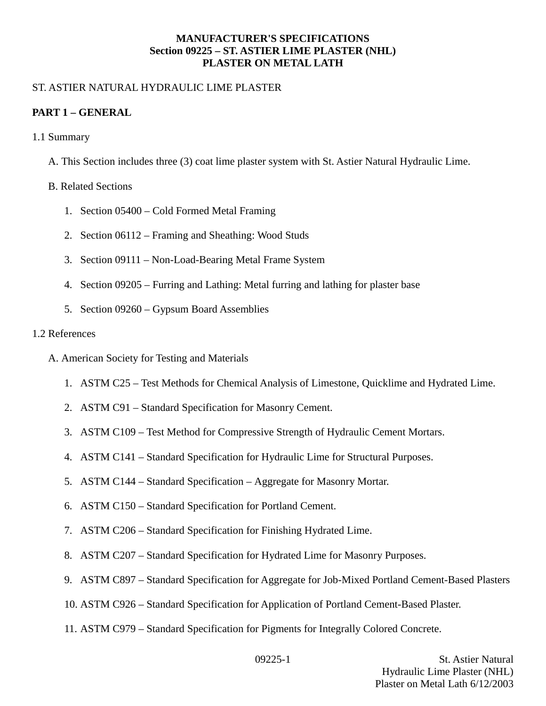#### **MANUFACTURER'S SPECIFICATIONS Section 09225 – ST. ASTIER LIME PLASTER (NHL) PLASTER ON METAL LATH**

## ST. ASTIER NATURAL HYDRAULIC LIME PLASTER

### **PART 1 – GENERAL**

- 1.1 Summary
	- A. This Section includes three (3) coat lime plaster system with St. Astier Natural Hydraulic Lime.

### B. Related Sections

- 1. Section 05400 Cold Formed Metal Framing
- 2. Section 06112 Framing and Sheathing: Wood Studs
- 3. Section 09111 Non-Load-Bearing Metal Frame System
- 4. Section 09205 Furring and Lathing: Metal furring and lathing for plaster base
- 5. Section 09260 Gypsum Board Assemblies

#### 1.2 References

- A. American Society for Testing and Materials
	- 1. ASTM C25 Test Methods for Chemical Analysis of Limestone, Quicklime and Hydrated Lime.
	- 2. ASTM C91 Standard Specification for Masonry Cement.
	- 3. ASTM C109 Test Method for Compressive Strength of Hydraulic Cement Mortars.
	- 4. ASTM C141 Standard Specification for Hydraulic Lime for Structural Purposes.
	- 5. ASTM C144 Standard Specification Aggregate for Masonry Mortar.
	- 6. ASTM C150 Standard Specification for Portland Cement.
	- 7. ASTM C206 Standard Specification for Finishing Hydrated Lime.
	- 8. ASTM C207 Standard Specification for Hydrated Lime for Masonry Purposes.
	- 9. ASTM C897 Standard Specification for Aggregate for Job-Mixed Portland Cement-Based Plasters
	- 10. ASTM C926 Standard Specification for Application of Portland Cement-Based Plaster.
	- 11. ASTM C979 Standard Specification for Pigments for Integrally Colored Concrete.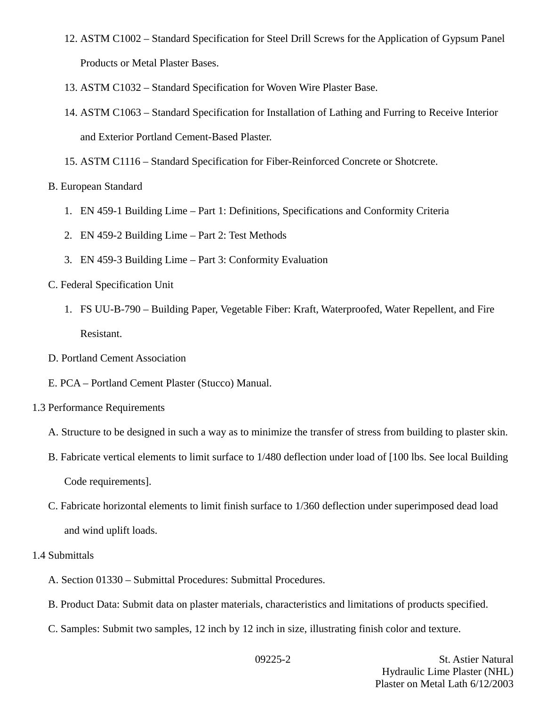- 12. ASTM C1002 Standard Specification for Steel Drill Screws for the Application of Gypsum Panel Products or Metal Plaster Bases.
- 13. ASTM C1032 Standard Specification for Woven Wire Plaster Base.
- 14. ASTM C1063 Standard Specification for Installation of Lathing and Furring to Receive Interior and Exterior Portland Cement-Based Plaster.
- 15. ASTM C1116 Standard Specification for Fiber-Reinforced Concrete or Shotcrete.
- B. European Standard
	- 1. EN 459-1 Building Lime Part 1: Definitions, Specifications and Conformity Criteria
	- 2. EN 459-2 Building Lime Part 2: Test Methods
	- 3. EN 459-3 Building Lime Part 3: Conformity Evaluation
- C. Federal Specification Unit
	- 1. FS UU-B-790 Building Paper, Vegetable Fiber: Kraft, Waterproofed, Water Repellent, and Fire Resistant.
- D. Portland Cement Association
- E. PCA Portland Cement Plaster (Stucco) Manual.
- 1.3 Performance Requirements
	- A. Structure to be designed in such a way as to minimize the transfer of stress from building to plaster skin.
	- B. Fabricate vertical elements to limit surface to 1/480 deflection under load of [100 lbs. See local Building Code requirements].
	- C. Fabricate horizontal elements to limit finish surface to 1/360 deflection under superimposed dead load and wind uplift loads.
- 1.4 Submittals
	- A. Section 01330 Submittal Procedures: Submittal Procedures.
	- B. Product Data: Submit data on plaster materials, characteristics and limitations of products specified.
	- C. Samples: Submit two samples, 12 inch by 12 inch in size, illustrating finish color and texture.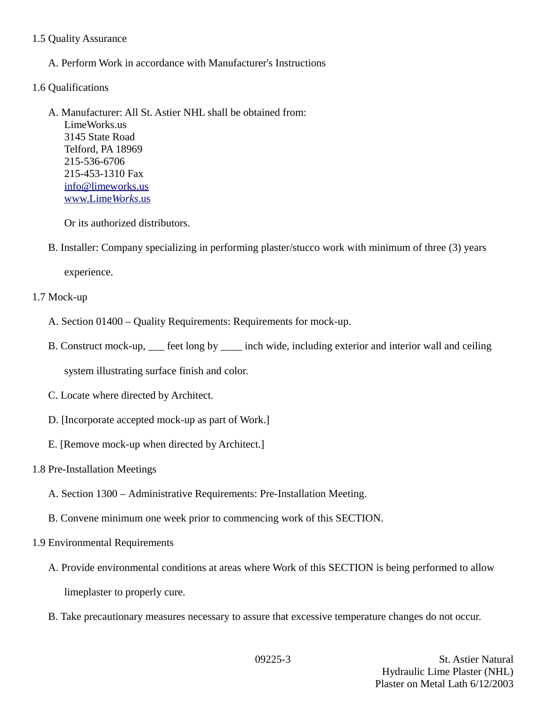### 1.5 Quality Assurance

A. Perform Work in accordance with Manufacturer's Instructions

## 1.6 Qualifications

A. Manufacturer: All St. Astier NHL shall be obtained from: LimeWorks.us 3145 State Road Telford, PA 18969 215-536-6706 215-453-1310 Fax [info@limeworks.us](mailto:info@limeworks.us)  [www.Lime](http://www.LimeWorks.us/) *[Works](http://www.LimeWorks.us/)*[.us](http://www.LimeWorks.us/)

Or its authorized distributors.

B. Installer: Company specializing in performing plaster/stucco work with minimum of three (3) years

experience.

# 1.7 Mock-up

- A. Section 01400 Quality Requirements: Requirements for mock-up.
- B. Construct mock-up, \_\_\_ feet long by \_\_\_\_ inch wide, including exterior and interior wall and ceiling

system illustrating surface finish and color.

- C. Locate where directed by Architect.
- D. [Incorporate accepted mock-up as part of Work.]
- E. [Remove mock-up when directed by Architect.]

## 1.8 Pre-Installation Meetings

- A. Section 1300 Administrative Requirements: Pre-Installation Meeting.
- B. Convene minimum one week prior to commencing work of this SECTION.
- 1.9 Environmental Requirements
	- A. Provide environmental conditions at areas where Work of this SECTION is being performed to allow limeplaster to properly cure.
	- B. Take precautionary measures necessary to assure that excessive temperature changes do not occur.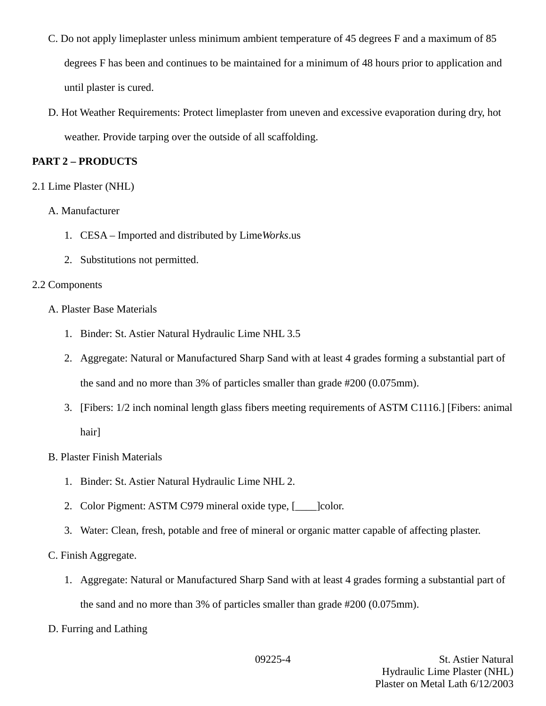- C. Do not apply limeplaster unless minimum ambient temperature of 45 degrees F and a maximum of 85 degrees F has been and continues to be maintained for a minimum of 48 hours prior to application and until plaster is cured.
- D. Hot Weather Requirements: Protect limeplaster from uneven and excessive evaporation during dry, hot weather. Provide tarping over the outside of all scaffolding.

# **PART 2 – PRODUCTS**

# 2.1 Lime Plaster (NHL)

- A. Manufacturer
	- 1. CESA Imported and distributed by Lime*Works*.us
	- 2. Substitutions not permitted.

# 2.2 Components

- A. Plaster Base Materials
	- 1. Binder: St. Astier Natural Hydraulic Lime NHL 3.5
	- 2. Aggregate: Natural or Manufactured Sharp Sand with at least 4 grades forming a substantial part of the sand and no more than 3% of particles smaller than grade #200 (0.075mm).
	- 3. [Fibers: 1/2 inch nominal length glass fibers meeting requirements of ASTM C1116.] [Fibers: animal hair]

## B. Plaster Finish Materials

- 1. Binder: St. Astier Natural Hydraulic Lime NHL 2.
- 2. Color Pigment: ASTM C979 mineral oxide type, [\_\_\_\_]color.
- 3. Water: Clean, fresh, potable and free of mineral or organic matter capable of affecting plaster.

# C. Finish Aggregate.

- 1. Aggregate: Natural or Manufactured Sharp Sand with at least 4 grades forming a substantial part of the sand and no more than 3% of particles smaller than grade #200 (0.075mm).
- D. Furring and Lathing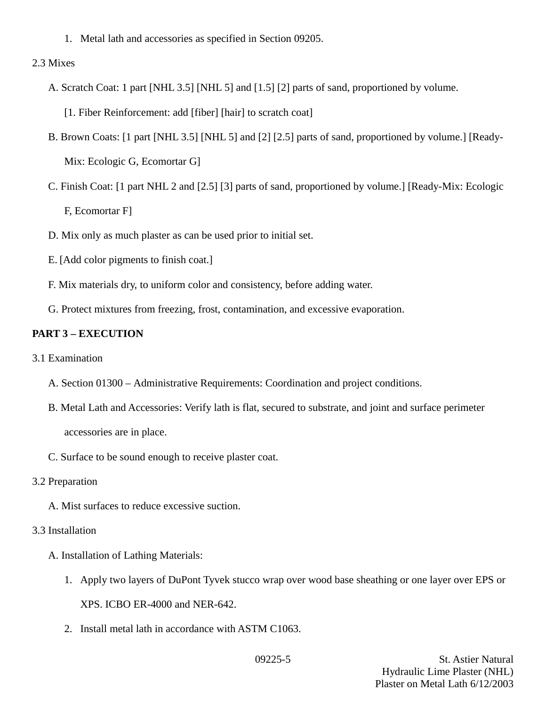1. Metal lath and accessories as specified in Section 09205.

### 2.3 Mixes

- A. Scratch Coat: 1 part [NHL 3.5] [NHL 5] and [1.5] [2] parts of sand, proportioned by volume.
	- [1. Fiber Reinforcement: add [fiber] [hair] to scratch coat]
- B. Brown Coats: [1 part [NHL 3.5] [NHL 5] and [2] [2.5] parts of sand, proportioned by volume.] [Ready-Mix: Ecologic G, Ecomortar G]
- C. Finish Coat: [1 part NHL 2 and [2.5] [3] parts of sand, proportioned by volume.] [Ready-Mix: Ecologic F, Ecomortar F]
- D. Mix only as much plaster as can be used prior to initial set.
- E. [Add color pigments to finish coat.]
- F. Mix materials dry, to uniform color and consistency, before adding water.
- G. Protect mixtures from freezing, frost, contamination, and excessive evaporation.

# **PART 3 – EXECUTION**

- 3.1 Examination
	- A. Section 01300 Administrative Requirements: Coordination and project conditions.
	- B. Metal Lath and Accessories: Verify lath is flat, secured to substrate, and joint and surface perimeter accessories are in place.
	- C. Surface to be sound enough to receive plaster coat.
- 3.2 Preparation
	- A. Mist surfaces to reduce excessive suction.

## 3.3 Installation

A. Installation of Lathing Materials:

- 1. Apply two layers of DuPont Tyvek stucco wrap over wood base sheathing or one layer over EPS or XPS. ICBO ER-4000 and NER-642.
- 2. Install metal lath in accordance with ASTM C1063.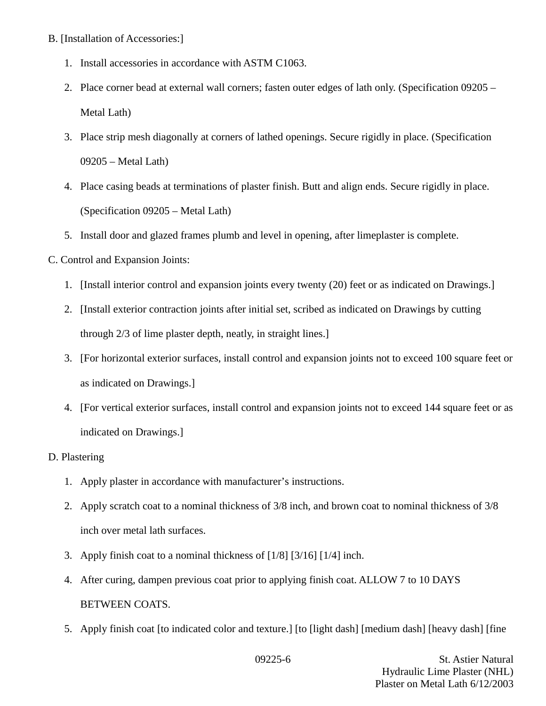- B. [Installation of Accessories:]
	- 1. Install accessories in accordance with ASTM C1063.
	- 2. Place corner bead at external wall corners; fasten outer edges of lath only. (Specification 09205 Metal Lath)
	- 3. Place strip mesh diagonally at corners of lathed openings. Secure rigidly in place. (Specification 09205 – Metal Lath)
	- 4. Place casing beads at terminations of plaster finish. Butt and align ends. Secure rigidly in place. (Specification 09205 – Metal Lath)
	- 5. Install door and glazed frames plumb and level in opening, after limeplaster is complete.
- C. Control and Expansion Joints:
	- 1. [Install interior control and expansion joints every twenty (20) feet or as indicated on Drawings.]
	- 2. [Install exterior contraction joints after initial set, scribed as indicated on Drawings by cutting through 2/3 of lime plaster depth, neatly, in straight lines.]
	- 3. [For horizontal exterior surfaces, install control and expansion joints not to exceed 100 square feet or as indicated on Drawings.]
	- 4. [For vertical exterior surfaces, install control and expansion joints not to exceed 144 square feet or as indicated on Drawings.]

### D. Plastering

- 1. Apply plaster in accordance with manufacturer's instructions.
- 2. Apply scratch coat to a nominal thickness of 3/8 inch, and brown coat to nominal thickness of 3/8 inch over metal lath surfaces.
- 3. Apply finish coat to a nominal thickness of [1/8] [3/16] [1/4] inch.
- 4. After curing, dampen previous coat prior to applying finish coat. ALLOW 7 to 10 DAYS BETWEEN COATS.
- 5. Apply finish coat [to indicated color and texture.] [to [light dash] [medium dash] [heavy dash] [fine